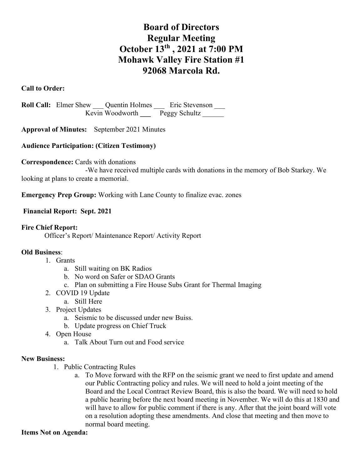# **Board of Directors Regular Meeting October 13th , 2021 at 7:00 PM Mohawk Valley Fire Station #1 92068 Marcola Rd.**

## **Call to Order:**

**Roll Call:** Elmer Shew Quentin Holmes Eric Stevenson  $Kevin$  Woodworth  $Peggy$  Schultz  $\overline{\phantom{a}}$ 

**Approval of Minutes:** September 2021 Minutes

# **Audience Participation: (Citizen Testimony)**

#### **Correspondence:** Cards with donations

-We have received multiple cards with donations in the memory of Bob Starkey. We looking at plans to create a memorial.

**Emergency Prep Group:** Working with Lane County to finalize evac. zones

### **Financial Report: Sept. 2021**

#### **Fire Chief Report:**

Officer's Report/ Maintenance Report/ Activity Report

#### **Old Business**:

- 1. Grants
	- a. Still waiting on BK Radios
	- b. No word on Safer or SDAO Grants
	- c. Plan on submitting a Fire House Subs Grant for Thermal Imaging
- 2. COVID 19 Update
	- a. Still Here
- 3. Project Updates
	- a. Seismic to be discussed under new Buiss.
	- b. Update progress on Chief Truck
- 4. Open House
	- a. Talk About Turn out and Food service

#### **New Business:**

- 1. Public Contracting Rules
	- a. To Move forward with the RFP on the seismic grant we need to first update and amend our Public Contracting policy and rules. We will need to hold a joint meeting of the Board and the Local Contract Review Board, this is also the board. We will need to hold a public hearing before the next board meeting in November. We will do this at 1830 and will have to allow for public comment if there is any. After that the joint board will vote on a resolution adopting these amendments. And close that meeting and then move to normal board meeting.

#### **Items Not on Agenda:**